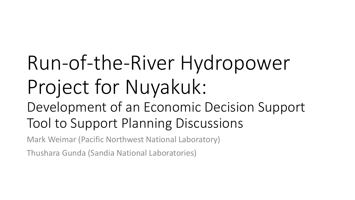# Run-of-the-River Hydropower Project for Nuyakuk:

### Development of an Economic Decision Support Tool to Support Planning Discussions

Mark Weimar (Pacific Northwest National Laboratory)

Thushara Gunda (Sandia National Laboratories)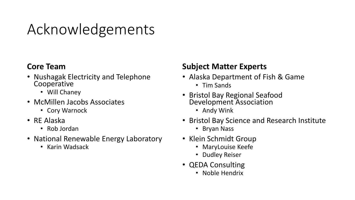# Acknowledgements

#### **Core Team**

- Nushagak Electricity and Telephone **Cooperative** 
	- Will Chaney
- McMillen Jacobs Associates
	- Cory Warnock
- RE Alaska
	- Rob Jordan
- National Renewable Energy Laboratory
	- Karin Wadsack

#### **Subject Matter Experts**

- Alaska Department of Fish & Game
	- Tim Sands
- Bristol Bay Regional Seafood Development Association
	- Andy Wink
- Bristol Bay Science and Research Institute
	- Bryan Nass
- Klein Schmidt Group
	- MaryLouise Keefe
	- Dudley Reiser
- QEDA Consulting
	- Noble Hendrix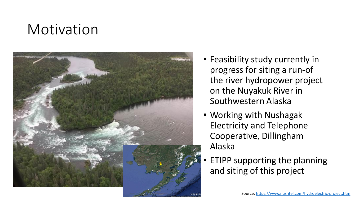### Motivation



- Feasibility study currently in progress for siting a run-of the river hydropower project on the Nuyakuk River in Southwestern Alaska
- Working with Nushagak Electricity and Telephone Cooperative, Dillingham Alaska
- ETIPP supporting the planning and siting of this project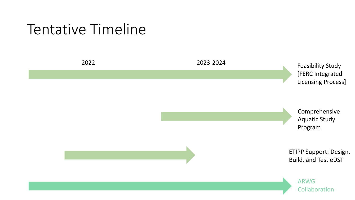#### Tentative Timeline

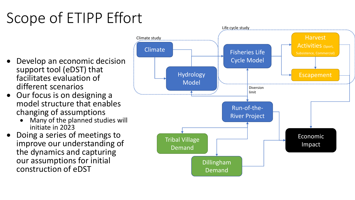# Scope of ETIPP Effort

- Develop an economic decision support tool (eDST) that facilitates evaluation of different scenarios
- Our focus is on designing a model structure that enables changing of assumptions
	- Many of the planned studies will initiate in 2023
- Doing a series of meetings to improve our understanding of the dynamics and capturing our assumptions for initial construction of eDST

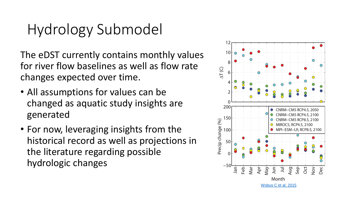# Hydrology Submodel

The eDST currently contains monthly values for river flow baselines as well as flow rate changes expected over time.

- All assumptions for values can be changed as aquatic study insights are generated
- For now, leveraging insights from the historical record as well as projections in the literature regarding possible hydrologic changes

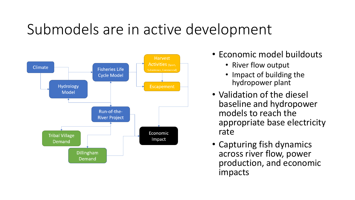# Submodels are in active development



- Economic model buildouts
	- River flow output
	- Impact of building the hydropower plant
- Validation of the diesel baseline and hydropower models to reach the appropriate base electricity rate
- Capturing fish dynamics across river flow, power production, and economic impacts